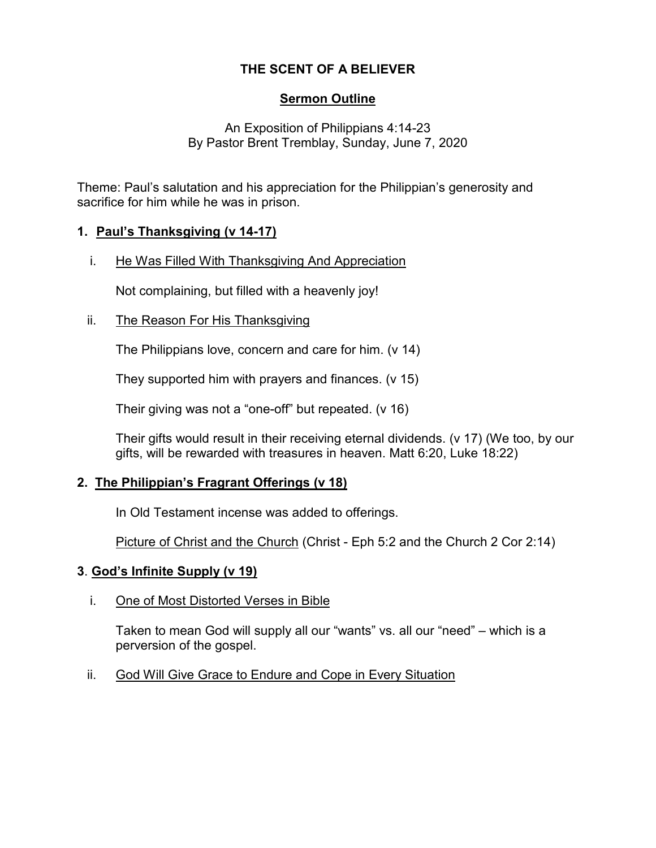# **THE SCENT OF A BELIEVER**

## **Sermon Outline**

An Exposition of Philippians 4:14-23 By Pastor Brent Tremblay, Sunday, June 7, 2020

Theme: Paul's salutation and his appreciation for the Philippian's generosity and sacrifice for him while he was in prison.

### **1. Paul's Thanksgiving (v 14-17)**

i. He Was Filled With Thanksgiving And Appreciation

Not complaining, but filled with a heavenly joy!

ii. The Reason For His Thanksgiving

The Philippians love, concern and care for him. (v 14)

They supported him with prayers and finances. (v 15)

Their giving was not a "one-off" but repeated. (v 16)

Their gifts would result in their receiving eternal dividends. (v 17) (We too, by our gifts, will be rewarded with treasures in heaven. Matt 6:20, Luke 18:22)

## **2. The Philippian's Fragrant Offerings (v 18)**

In Old Testament incense was added to offerings.

Picture of Christ and the Church (Christ - Eph 5:2 and the Church 2 Cor 2:14)

### **3**. **God's Infinite Supply (v 19)**

i. One of Most Distorted Verses in Bible

Taken to mean God will supply all our "wants" vs. all our "need" – which is a perversion of the gospel.

ii. God Will Give Grace to Endure and Cope in Every Situation